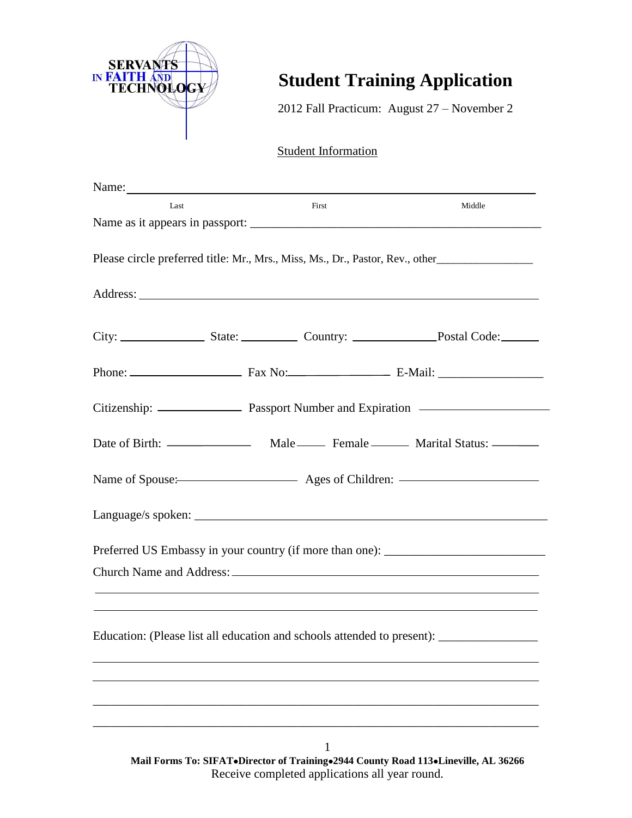

# **Student Training Application**

2012 Fall Practicum: August 27 – November 2

Student Information

| Name: |                                                                                   |        |
|-------|-----------------------------------------------------------------------------------|--------|
| Last  | First                                                                             | Middle |
|       |                                                                                   |        |
|       | Please circle preferred title: Mr., Mrs., Miss, Ms., Dr., Pastor, Rev., other     |        |
|       |                                                                                   |        |
|       |                                                                                   |        |
|       |                                                                                   |        |
|       |                                                                                   |        |
|       |                                                                                   |        |
|       | Name of Spouse: Ages of Children: <u>Ages of Children:</u>                        |        |
|       |                                                                                   |        |
|       | Preferred US Embassy in your country (if more than one): ________________________ |        |
|       |                                                                                   |        |
|       |                                                                                   |        |
|       | Education: (Please list all education and schools attended to present):           |        |
|       |                                                                                   |        |
|       |                                                                                   |        |
|       |                                                                                   |        |
|       |                                                                                   |        |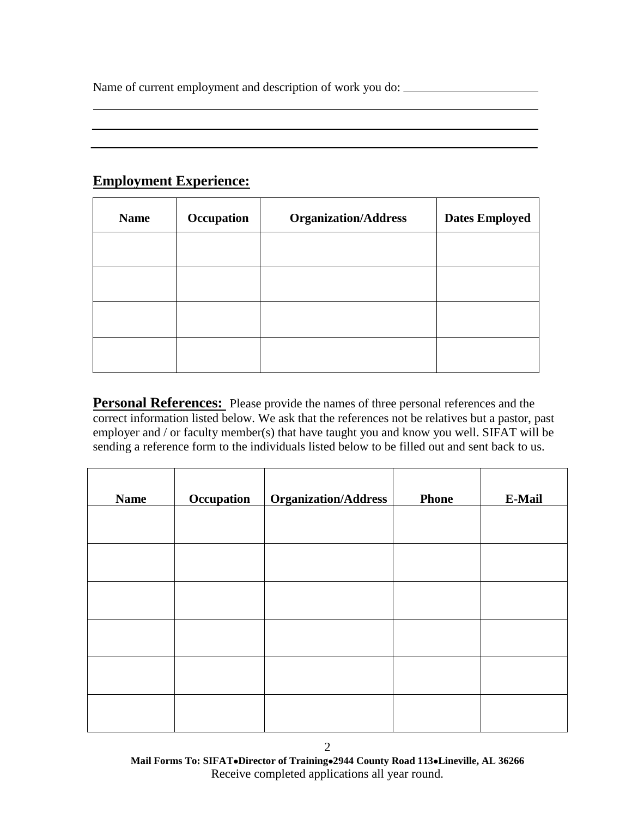Name of current employment and description of work you do:

## **Employment Experience:**

-

j

| <b>Name</b> | Occupation | <b>Organization/Address</b> | <b>Dates Employed</b> |
|-------------|------------|-----------------------------|-----------------------|
|             |            |                             |                       |
|             |            |                             |                       |
|             |            |                             |                       |
|             |            |                             |                       |

**Personal References:** Please provide the names of three personal references and the correct information listed below. We ask that the references not be relatives but a pastor, past employer and / or faculty member(s) that have taught you and know you well. SIFAT will be sending a reference form to the individuals listed below to be filled out and sent back to us.

| <b>Name</b> | Occupation | <b>Organization/Address</b> | <b>Phone</b> | E-Mail |
|-------------|------------|-----------------------------|--------------|--------|
|             |            |                             |              |        |
|             |            |                             |              |        |
|             |            |                             |              |        |
|             |            |                             |              |        |
|             |            |                             |              |        |
|             |            |                             |              |        |
|             |            |                             |              |        |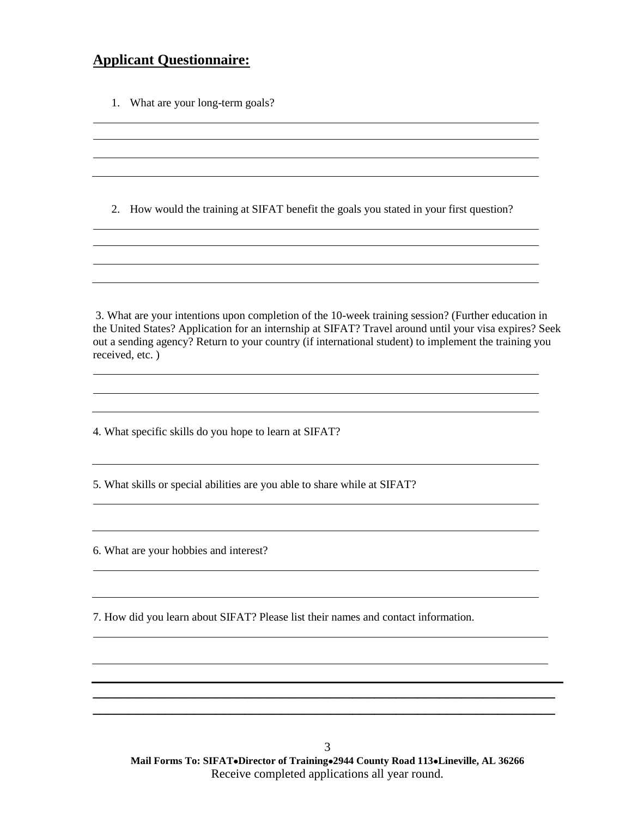## **Applicant Questionnaire:**

1. What are your long-term goals?

2. How would the training at SIFAT benefit the goals you stated in your first question?

3. What are your intentions upon completion of the 10-week training session? (Further education in the United States? Application for an internship at SIFAT? Travel around until your visa expires? Seek out a sending agency? Return to your country (if international student) to implement the training you received, etc. )

4. What specific skills do you hope to learn at SIFAT?

5. What skills or special abilities are you able to share while at SIFAT?

6. What are your hobbies and interest?

7. How did you learn about SIFAT? Please list their names and contact information.

<u> 1980 - Andrea Brasil, amerikan bizkaitar (h. 1980).</u>

**\_\_\_\_\_\_\_\_\_\_\_\_\_\_\_\_\_\_\_\_\_\_\_\_\_\_\_\_\_\_\_\_\_\_\_\_\_\_\_\_\_\_\_\_\_\_\_\_\_\_\_\_\_\_\_\_\_\_\_\_\_\_\_\_ \_\_\_\_\_\_\_\_\_\_\_\_\_\_\_\_\_\_\_\_\_\_\_\_\_\_\_\_\_\_\_\_\_\_\_\_\_\_\_\_\_\_\_\_\_\_\_\_\_\_\_\_\_\_\_\_\_\_\_\_\_\_\_\_**

<u> 1989 - Johann Stoff, deutscher Stoffen und der Stoffen und der Stoffen und der Stoffen und der Stoffen und der</u>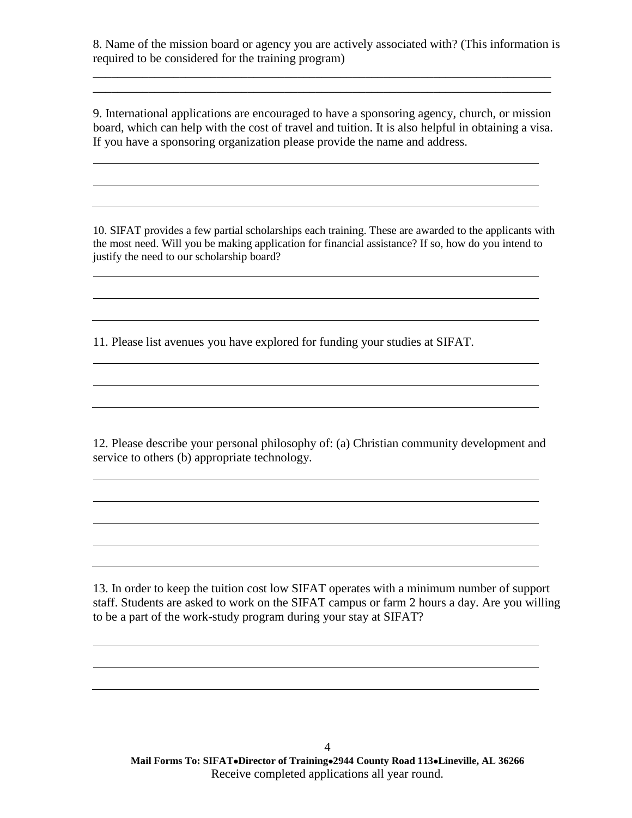8. Name of the mission board or agency you are actively associated with? (This information is required to be considered for the training program)  $\mathcal{L}_\text{max}$  and  $\mathcal{L}_\text{max}$  and  $\mathcal{L}_\text{max}$  and  $\mathcal{L}_\text{max}$  and  $\mathcal{L}_\text{max}$ 

9. International applications are encouraged to have a sponsoring agency, church, or mission board, which can help with the cost of travel and tuition. It is also helpful in obtaining a visa. If you have a sponsoring organization please provide the name and address.

\_\_\_\_\_\_\_\_\_\_\_\_\_\_\_\_\_\_\_\_\_\_\_\_\_\_\_\_\_\_\_\_\_\_\_\_\_\_\_\_\_\_\_\_\_\_\_\_\_\_\_\_\_\_\_\_\_\_\_\_\_\_\_\_\_\_\_\_\_\_\_\_\_\_

10. SIFAT provides a few partial scholarships each training. These are awarded to the applicants with the most need. Will you be making application for financial assistance? If so, how do you intend to justify the need to our scholarship board?

<u> 1989 - Johann Stoff, amerikansk politiker (\* 1908)</u>

11. Please list avenues you have explored for funding your studies at SIFAT.

12. Please describe your personal philosophy of: (a) Christian community development and service to others (b) appropriate technology.

13. In order to keep the tuition cost low SIFAT operates with a minimum number of support staff. Students are asked to work on the SIFAT campus or farm 2 hours a day. Are you willing to be a part of the work-study program during your stay at SIFAT?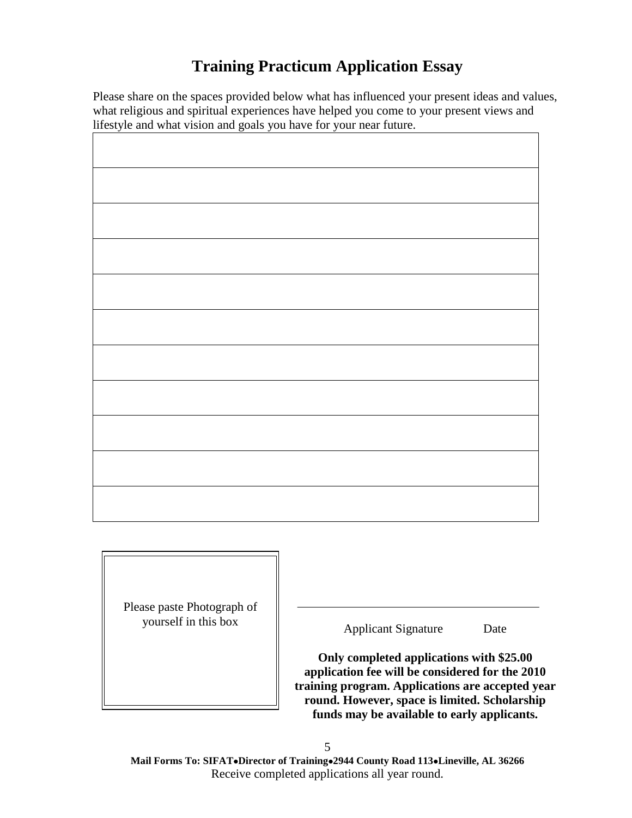## **Training Practicum Application Essay**

Please share on the spaces provided below what has influenced your present ideas and values, what religious and spiritual experiences have helped you come to your present views and lifestyle and what vision and goals you have for your near future.

Please paste Photograph of yourself in this box

Applicant Signature Date

**Only completed applications with \$25.00 application fee will be considered for the 2010 training program. Applications are accepted year round. However, space is limited. Scholarship funds may be available to early applicants.**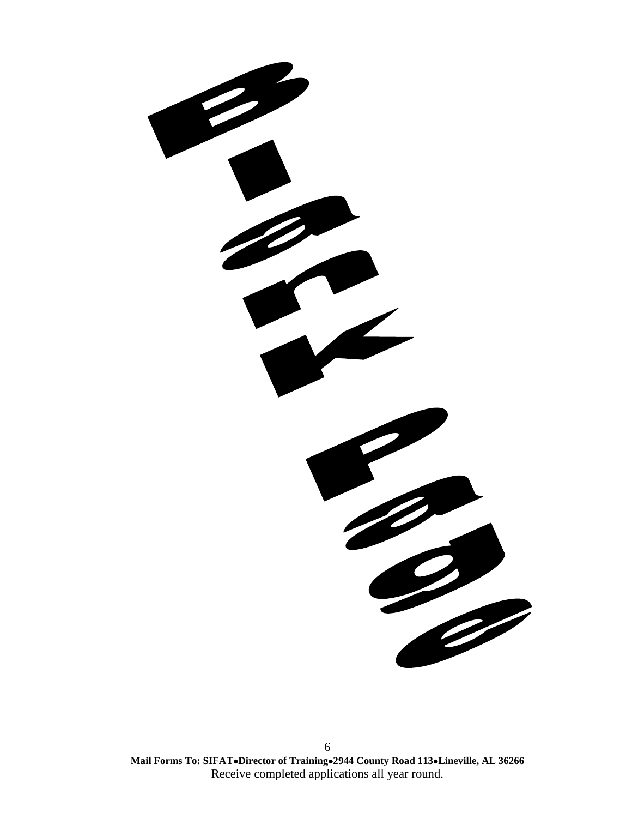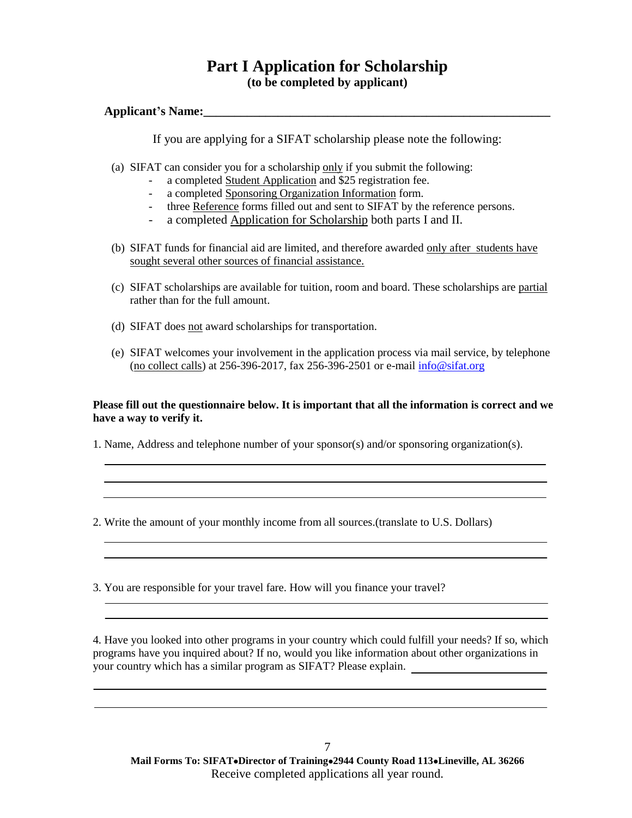## **Part I Application for Scholarship (to be completed by applicant)**

### **Applicant's Name:\_\_\_\_\_\_\_\_\_\_\_\_\_\_\_\_\_\_\_\_\_\_\_\_\_\_\_\_\_\_\_\_\_\_\_\_\_\_\_\_\_\_\_\_\_\_\_\_\_\_\_\_\_\_\_\_**

If you are applying for a SIFAT scholarship please note the following:

- (a) SIFAT can consider you for a scholarship only if you submit the following:
	- a completed Student Application and \$25 registration fee.
	- a completed Sponsoring Organization Information form.
	- three Reference forms filled out and sent to SIFAT by the reference persons.
	- a completed Application for Scholarship both parts I and II.
- (b) SIFAT funds for financial aid are limited, and therefore awarded only after students have sought several other sources of financial assistance.
- (c) SIFAT scholarships are available for tuition, room and board. These scholarships are partial rather than for the full amount.
- (d) SIFAT does not award scholarships for transportation.
- (e) SIFAT welcomes your involvement in the application process via mail service, by telephone (no collect calls) at 256-396-2017, fax 256-396-2501 or e-mail [info@sifat.org](mailto:info@sifat.org)

### **Please fill out the questionnaire below. It is important that all the information is correct and we have a way to verify it.**

1. Name, Address and telephone number of your sponsor(s) and/or sponsoring organization(s).

2. Write the amount of your monthly income from all sources.(translate to U.S. Dollars)

3. You are responsible for your travel fare. How will you finance your travel?

4. Have you looked into other programs in your country which could fulfill your needs? If so, which programs have you inquired about? If no, would you like information about other organizations in your country which has a similar program as SIFAT? Please explain.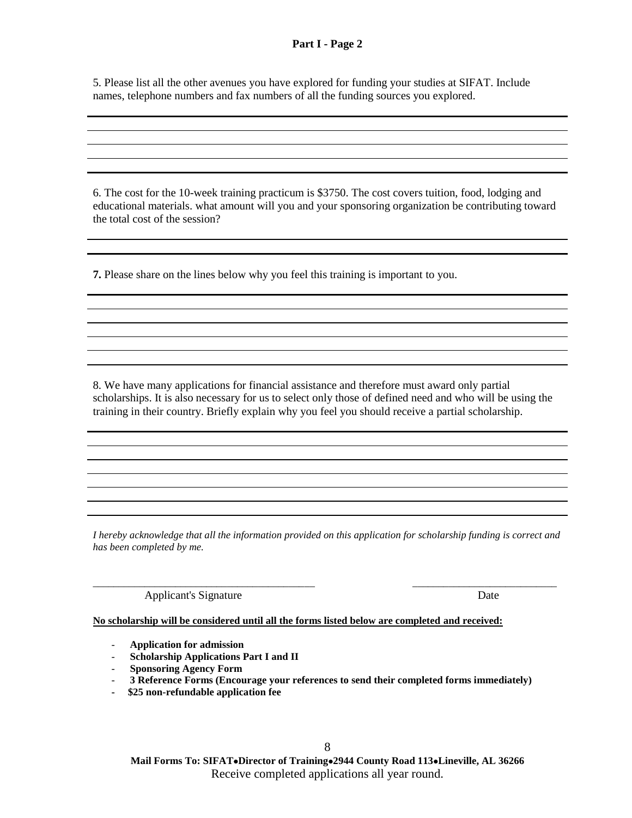#### **Part I - Page 2**

5. Please list all the other avenues you have explored for funding your studies at SIFAT. Include names, telephone numbers and fax numbers of all the funding sources you explored.

6. The cost for the 10-week training practicum is \$3750. The cost covers tuition, food, lodging and educational materials. what amount will you and your sponsoring organization be contributing toward the total cost of the session?

**7.** Please share on the lines below why you feel this training is important to you.

8. We have many applications for financial assistance and therefore must award only partial scholarships. It is also necessary for us to select only those of defined need and who will be using the training in their country. Briefly explain why you feel you should receive a partial scholarship.

*I hereby acknowledge that all the information provided on this application for scholarship funding is correct and has been completed by me.*

Applicant's Signature Date

*\_\_\_\_\_\_\_\_\_\_\_\_\_\_\_\_\_\_\_\_\_\_\_\_\_\_\_\_\_\_\_\_\_\_\_\_\_\_\_\_\_\_\_ \_\_\_\_\_\_\_\_\_\_\_\_\_\_\_\_\_\_\_\_\_\_\_\_\_\_\_\_*

**No scholarship will be considered until all the forms listed below are completed and received:**

- **Application for admission**
- **Scholarship Applications Part I and II**
- **Sponsoring Agency Form**
- **3 Reference Forms (Encourage your references to send their completed forms immediately)**
- **\$25 non-refundable application fee**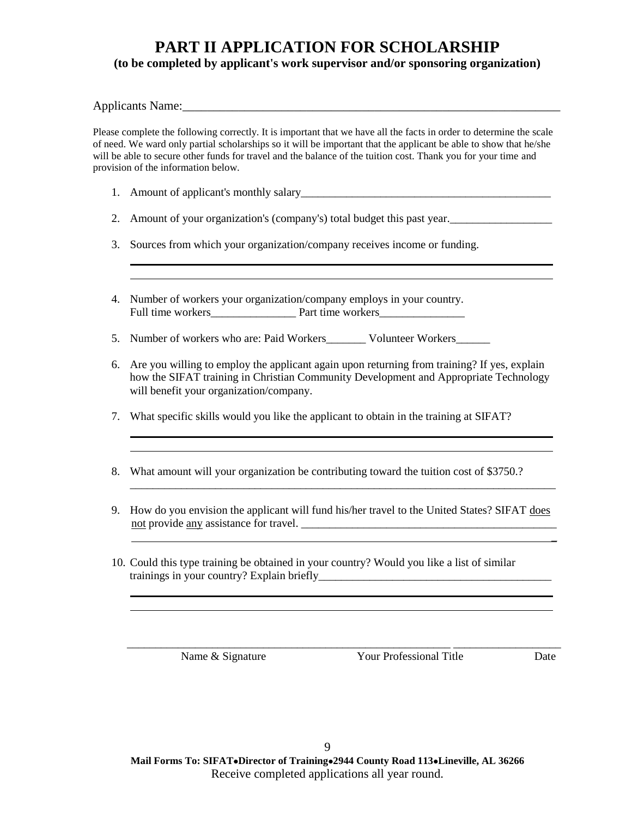## **PART II APPLICATION FOR SCHOLARSHIP (to be completed by applicant's work supervisor and/or sponsoring organization)**

Applicants Name:\_\_\_\_\_\_\_\_\_\_\_\_\_\_\_\_\_\_\_\_\_\_\_\_\_\_\_\_\_\_\_\_\_\_\_\_\_\_\_\_\_\_\_\_\_\_\_\_\_\_\_\_\_\_\_\_\_\_\_\_\_

Please complete the following correctly. It is important that we have all the facts in order to determine the scale of need. We ward only partial scholarships so it will be important that the applicant be able to show that he/she will be able to secure other funds for travel and the balance of the tuition cost. Thank you for your time and provision of the information below.

- 1. Amount of applicant's monthly salary\_\_\_\_\_\_\_\_\_\_\_\_\_\_\_\_\_\_\_\_\_\_\_\_\_\_\_\_\_\_\_\_\_\_\_\_\_\_\_\_\_\_\_\_
- 2. Amount of your organization's (company's) total budget this past year.
- 3. Sources from which your organization/company receives income or funding.
- 4. Number of workers your organization/company employs in your country. Full time workers\_\_\_\_\_\_\_\_\_\_\_\_\_\_\_ Part time workers\_\_\_\_\_\_\_\_\_\_\_\_\_\_\_

5. Number of workers who are: Paid Workers\_\_\_\_\_\_\_\_ Volunteer Workers\_\_\_\_\_\_

- 6. Are you willing to employ the applicant again upon returning from training? If yes, explain how the SIFAT training in Christian Community Development and Appropriate Technology will benefit your organization/company.
- 7. What specific skills would you like the applicant to obtain in the training at SIFAT?
- 8. What amount will your organization be contributing toward the tuition cost of \$3750.?
- 9. How do you envision the applicant will fund his/her travel to the United States? SIFAT does not provide <u>any</u> assistance for travel.

\_

10. Could this type training be obtained in your country? Would you like a list of similar trainings in your country? Explain briefly

Name & Signature The Your Professional Title Date

\_\_\_\_\_\_\_\_\_\_\_\_\_\_\_\_\_\_\_\_\_\_\_\_\_\_\_\_\_\_\_\_\_\_\_\_\_\_\_\_\_\_\_\_\_\_\_\_\_\_\_\_\_\_\_\_\_ \_\_\_\_\_\_\_\_\_\_\_\_\_\_\_\_\_\_\_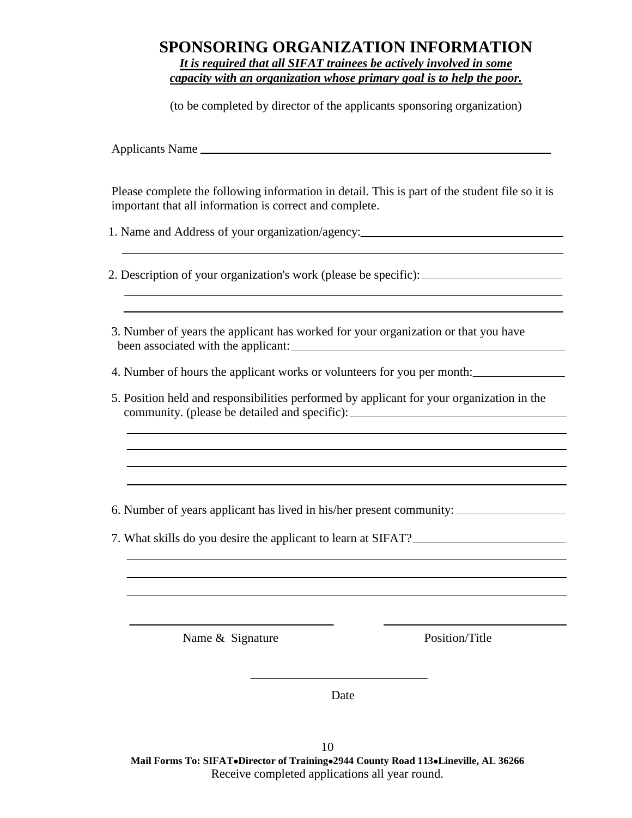## **SPONSORING ORGANIZATION INFORMATION** *It is required that all SIFAT trainees be actively involved in some capacity with an organization whose primary goal is to help the poor.*

(to be completed by director of the applicants sponsoring organization)

Applicants Name

 Please complete the following information in detail. This is part of the student file so it is important that all information is correct and complete.

1. Name and Address of your organization/agency:

2. Description of your organization's work (please be specific):

3. Number of years the applicant has worked for your organization or that you have been associated with the applicant:

4. Number of hours the applicant works or volunteers for you per month:

5. Position held and responsibilities performed by applicant for your organization in the community. (please be detailed and specific):

6. Number of years applicant has lived in his/her present community:

7. What skills do you desire the applicant to learn at SIFAT?

Name & Signature Position/Title

**Date Date**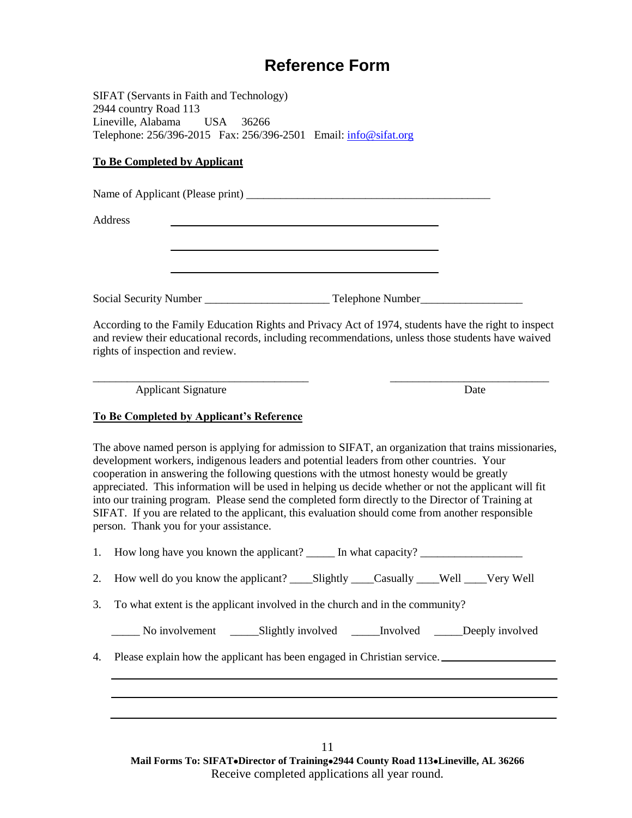## **Reference Form**

SIFAT (Servants in Faith and Technology) 2944 country Road 113 Lineville, Alabama USA 36266 Telephone: 256/396-2015 Fax: 256/396-2501 Email: [info@sifat.org](mailto:info@sifat.org)

#### **To Be Completed by Applicant**

Name of Applicant (Please print)

Address

Social Security Number \_\_\_\_\_\_\_\_\_\_\_\_\_\_\_\_\_\_\_\_\_\_ Telephone Number\_\_\_\_\_\_\_\_\_\_\_\_\_\_\_\_\_\_

According to the Family Education Rights and Privacy Act of 1974, students have the right to inspect and review their educational records, including recommendations, unless those students have waived rights of inspection and review.

\_\_\_\_\_\_\_\_\_\_\_\_\_\_\_\_\_\_\_\_\_\_\_\_\_\_\_\_\_\_\_\_\_\_\_\_\_\_ \_\_\_\_\_\_\_\_\_\_\_\_\_\_\_\_\_\_\_\_\_\_\_\_\_\_\_\_

Applicant Signature Date

### **To Be Completed by Applicant's Reference**

The above named person is applying for admission to SIFAT, an organization that trains missionaries, development workers, indigenous leaders and potential leaders from other countries. Your cooperation in answering the following questions with the utmost honesty would be greatly appreciated. This information will be used in helping us decide whether or not the applicant will fit into our training program. Please send the completed form directly to the Director of Training at SIFAT. If you are related to the applicant, this evaluation should come from another responsible person. Thank you for your assistance.

|  | How long have you known the applicant? |  | In what capacity? |  |
|--|----------------------------------------|--|-------------------|--|
|--|----------------------------------------|--|-------------------|--|

- 2. How well do you know the applicant? \_\_\_\_Slightly \_\_\_\_Casually \_\_\_\_Well \_\_\_\_Very Well
- 3. To what extent is the applicant involved in the church and in the community?

\_\_\_\_\_ No involvement \_\_\_\_\_Slightly involved \_\_\_\_\_Involved \_\_\_\_\_Deeply involved

4. Please explain how the applicant has been engaged in Christian service.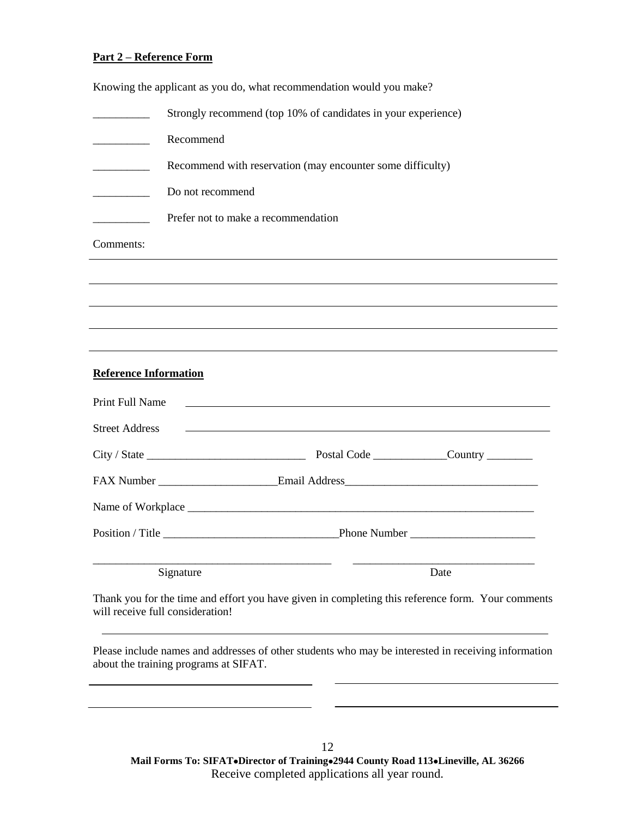### **Part 2 – Reference Form**

|                                                                                                                                                                                                                                                                                                                                                                                                                                                       | Knowing the applicant as you do, what recommendation would you make?                                                                         |
|-------------------------------------------------------------------------------------------------------------------------------------------------------------------------------------------------------------------------------------------------------------------------------------------------------------------------------------------------------------------------------------------------------------------------------------------------------|----------------------------------------------------------------------------------------------------------------------------------------------|
| $\begin{array}{ccccccccccccc} \multicolumn{2}{c }{\textbf{1} & \textbf{2} & \textbf{3} & \textbf{4} & \textbf{5} & \textbf{5} & \textbf{6} & \textbf{7} & \textbf{8} & \textbf{9} & \textbf{10} & \textbf{10} & \textbf{10} & \textbf{10} & \textbf{10} & \textbf{10} & \textbf{10} & \textbf{10} & \textbf{10} & \textbf{10} & \textbf{10} & \textbf{10} & \textbf{10} & \textbf{10} & \textbf{10} & \textbf{10} & \text$                            | Strongly recommend (top 10% of candidates in your experience)                                                                                |
|                                                                                                                                                                                                                                                                                                                                                                                                                                                       | Recommend                                                                                                                                    |
| $\begin{tabular}{ccccc} \multicolumn{2}{c }{\textbf{1} & \multicolumn{2}{c }{\textbf{2} & \multicolumn{2}{c }{\textbf{3} & \multicolumn{2}{c }{\textbf{4} & \multicolumn{2}{c }{\textbf{5} & \multicolumn{2}{c }{\textbf{6} & \multicolumn{2}{c }{\textbf{6} & \multicolumn{2}{c }{\textbf{6} & \multicolumn{2}{c }{\textbf{6} & \multicolumn{2}{c }{\textbf{6} & \multicolumn{2}{c }{\textbf{6} & \multicolumn{2}{c }{\textbf{6} & \multicolumn{2}{$ | Recommend with reservation (may encounter some difficulty)                                                                                   |
| $\begin{array}{ccccccccccccc} \multicolumn{2}{c }{\textbf{1} & \textbf{2} & \textbf{3} & \textbf{4} & \textbf{5} & \textbf{5} & \textbf{6} & \textbf{7} & \textbf{8} & \textbf{9} & \textbf{10} & \textbf{10} & \textbf{10} & \textbf{10} & \textbf{10} & \textbf{10} & \textbf{10} & \textbf{10} & \textbf{10} & \textbf{10} & \textbf{10} & \textbf{10} & \textbf{10} & \textbf{10} & \textbf{10} & \textbf{10} & \text$                            | Do not recommend                                                                                                                             |
| <u> Liberal Communication</u>                                                                                                                                                                                                                                                                                                                                                                                                                         | Prefer not to make a recommendation                                                                                                          |
| Comments:                                                                                                                                                                                                                                                                                                                                                                                                                                             |                                                                                                                                              |
|                                                                                                                                                                                                                                                                                                                                                                                                                                                       |                                                                                                                                              |
|                                                                                                                                                                                                                                                                                                                                                                                                                                                       |                                                                                                                                              |
|                                                                                                                                                                                                                                                                                                                                                                                                                                                       |                                                                                                                                              |
|                                                                                                                                                                                                                                                                                                                                                                                                                                                       | ,我们也不会有什么。""我们的人,我们也不会有什么?""我们的人,我们也不会有什么?""我们的人,我们也不会有什么?""我们的人,我们也不会有什么?""我们的人                                                             |
| <b>Reference Information</b>                                                                                                                                                                                                                                                                                                                                                                                                                          |                                                                                                                                              |
| Print Full Name                                                                                                                                                                                                                                                                                                                                                                                                                                       | <u> 1989 - Andrea Santa Andrea Santa Andrea Santa Andrea Santa Andrea Santa Andrea Santa Andrea Santa Andrea San</u>                         |
| <b>Street Address</b>                                                                                                                                                                                                                                                                                                                                                                                                                                 | <u> 1989 - Johann Harry Harry Harry Harry Harry Harry Harry Harry Harry Harry Harry Harry Harry Harry Harry Harry</u>                        |
|                                                                                                                                                                                                                                                                                                                                                                                                                                                       |                                                                                                                                              |
|                                                                                                                                                                                                                                                                                                                                                                                                                                                       | FAX Number ___________________________Email Address______________________________                                                            |
|                                                                                                                                                                                                                                                                                                                                                                                                                                                       |                                                                                                                                              |
|                                                                                                                                                                                                                                                                                                                                                                                                                                                       |                                                                                                                                              |
|                                                                                                                                                                                                                                                                                                                                                                                                                                                       | Signature<br>Date                                                                                                                            |
|                                                                                                                                                                                                                                                                                                                                                                                                                                                       | Thank you for the time and effort you have given in completing this reference form. Your comments<br>will receive full consideration!        |
|                                                                                                                                                                                                                                                                                                                                                                                                                                                       | Please include names and addresses of other students who may be interested in receiving information<br>about the training programs at SIFAT. |
|                                                                                                                                                                                                                                                                                                                                                                                                                                                       |                                                                                                                                              |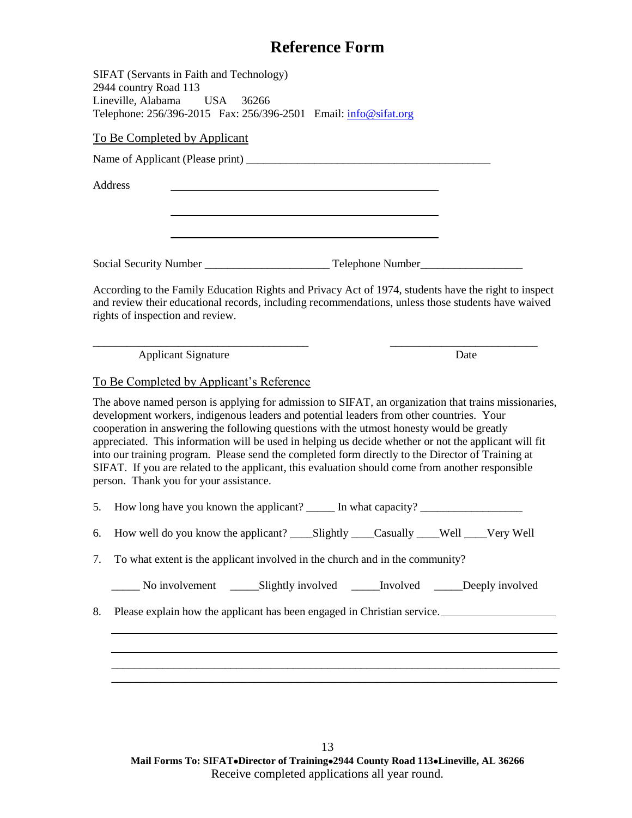## **Reference Form**

|    | SIFAT (Servants in Faith and Technology)<br>2944 country Road 113<br>Lineville, Alabama USA<br>36266<br>Telephone: 256/396-2015  Fax: 256/396-2501  Email: info@sifat.org                                                                                                                                                                                                                                                                                                                                                                                                                                                                                 |      |
|----|-----------------------------------------------------------------------------------------------------------------------------------------------------------------------------------------------------------------------------------------------------------------------------------------------------------------------------------------------------------------------------------------------------------------------------------------------------------------------------------------------------------------------------------------------------------------------------------------------------------------------------------------------------------|------|
|    | To Be Completed by Applicant                                                                                                                                                                                                                                                                                                                                                                                                                                                                                                                                                                                                                              |      |
|    |                                                                                                                                                                                                                                                                                                                                                                                                                                                                                                                                                                                                                                                           |      |
|    | Address<br><u> 1989 - Johann Stein, marwolaethau a bhann an t-Amhair ann an t-Amhair an t-Amhair an t-Amhair an t-Amhair an</u>                                                                                                                                                                                                                                                                                                                                                                                                                                                                                                                           |      |
|    |                                                                                                                                                                                                                                                                                                                                                                                                                                                                                                                                                                                                                                                           |      |
|    | According to the Family Education Rights and Privacy Act of 1974, students have the right to inspect<br>and review their educational records, including recommendations, unless those students have waived<br>rights of inspection and review.                                                                                                                                                                                                                                                                                                                                                                                                            |      |
|    | <b>Applicant Signature</b>                                                                                                                                                                                                                                                                                                                                                                                                                                                                                                                                                                                                                                | Date |
|    | To Be Completed by Applicant's Reference                                                                                                                                                                                                                                                                                                                                                                                                                                                                                                                                                                                                                  |      |
|    | The above named person is applying for admission to SIFAT, an organization that trains missionaries,<br>development workers, indigenous leaders and potential leaders from other countries. Your<br>cooperation in answering the following questions with the utmost honesty would be greatly<br>appreciated. This information will be used in helping us decide whether or not the applicant will fit<br>into our training program. Please send the completed form directly to the Director of Training at<br>SIFAT. If you are related to the applicant, this evaluation should come from another responsible<br>person. Thank you for your assistance. |      |
| 5. | How long have you known the applicant? _______ In what capacity? ________________                                                                                                                                                                                                                                                                                                                                                                                                                                                                                                                                                                         |      |
| 6. |                                                                                                                                                                                                                                                                                                                                                                                                                                                                                                                                                                                                                                                           |      |
| 7. | To what extent is the applicant involved in the church and in the community?                                                                                                                                                                                                                                                                                                                                                                                                                                                                                                                                                                              |      |
|    |                                                                                                                                                                                                                                                                                                                                                                                                                                                                                                                                                                                                                                                           |      |
| 8. | Please explain how the applicant has been engaged in Christian service.                                                                                                                                                                                                                                                                                                                                                                                                                                                                                                                                                                                   |      |
|    |                                                                                                                                                                                                                                                                                                                                                                                                                                                                                                                                                                                                                                                           |      |
|    |                                                                                                                                                                                                                                                                                                                                                                                                                                                                                                                                                                                                                                                           |      |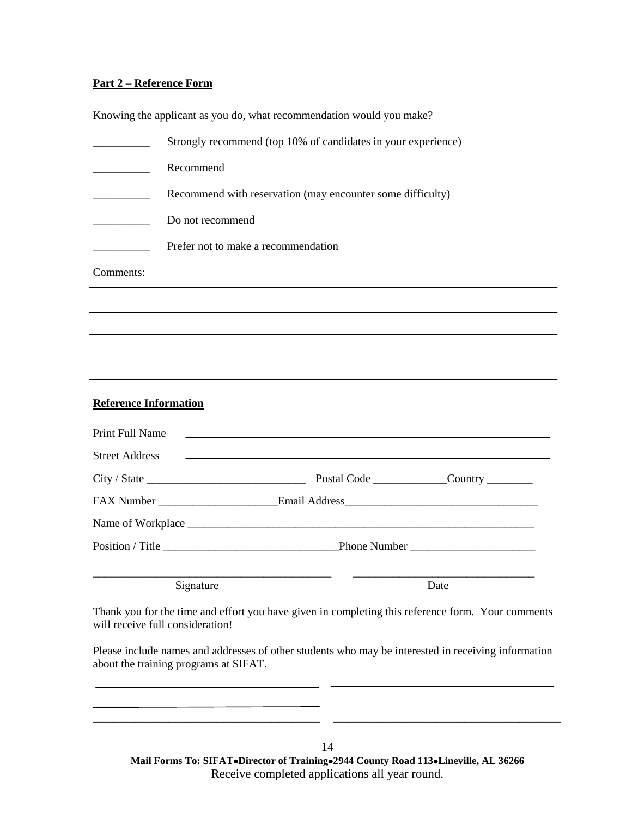#### **Part 2 – Reference Form**

 $\overline{a}$ 

| Knowing the applicant as you do, what recommendation would you make? |                                                                                                                                       |  |  |  |
|----------------------------------------------------------------------|---------------------------------------------------------------------------------------------------------------------------------------|--|--|--|
| $\frac{1}{2}$ . The contract of the contract of $\frac{1}{2}$        | Strongly recommend (top 10% of candidates in your experience)                                                                         |  |  |  |
| $\overline{\phantom{a}}$                                             | Recommend                                                                                                                             |  |  |  |
| <u> 1990 - Johann Barnett, f</u>                                     | Recommend with reservation (may encounter some difficulty)                                                                            |  |  |  |
|                                                                      | Do not recommend                                                                                                                      |  |  |  |
|                                                                      | Prefer not to make a recommendation                                                                                                   |  |  |  |
| Comments:                                                            |                                                                                                                                       |  |  |  |
|                                                                      |                                                                                                                                       |  |  |  |
|                                                                      |                                                                                                                                       |  |  |  |
|                                                                      |                                                                                                                                       |  |  |  |
|                                                                      |                                                                                                                                       |  |  |  |
| <b>Reference Information</b>                                         |                                                                                                                                       |  |  |  |
| Print Full Name                                                      | <u> 1999 - Johann Stoff, amerikansk politiker (d. 1989)</u>                                                                           |  |  |  |
| <b>Street Address</b>                                                | <u> 1989 - Johann Stein, mars an deutscher Stein und der Stein und der Stein und der Stein und der Stein und der</u>                  |  |  |  |
|                                                                      |                                                                                                                                       |  |  |  |
|                                                                      |                                                                                                                                       |  |  |  |
|                                                                      |                                                                                                                                       |  |  |  |
|                                                                      |                                                                                                                                       |  |  |  |
|                                                                      | Signature<br>Date                                                                                                                     |  |  |  |
|                                                                      | Thank you for the time and effort you have given in completing this reference form. Your comments<br>will receive full consideration! |  |  |  |

Please include names and addresses of other students who may be interested in receiving information about the training programs at SIFAT.

 $\overline{a}$ 

**\_\_\_\_\_\_\_\_\_\_\_\_\_\_\_\_\_\_\_\_\_\_\_\_\_\_\_\_\_\_\_\_\_ \_\_\_\_\_\_\_\_\_\_\_\_\_\_\_\_\_\_\_\_\_\_\_\_\_\_\_\_\_\_\_\_\_**

<u>. . .</u>

 $\overline{\phantom{a}}$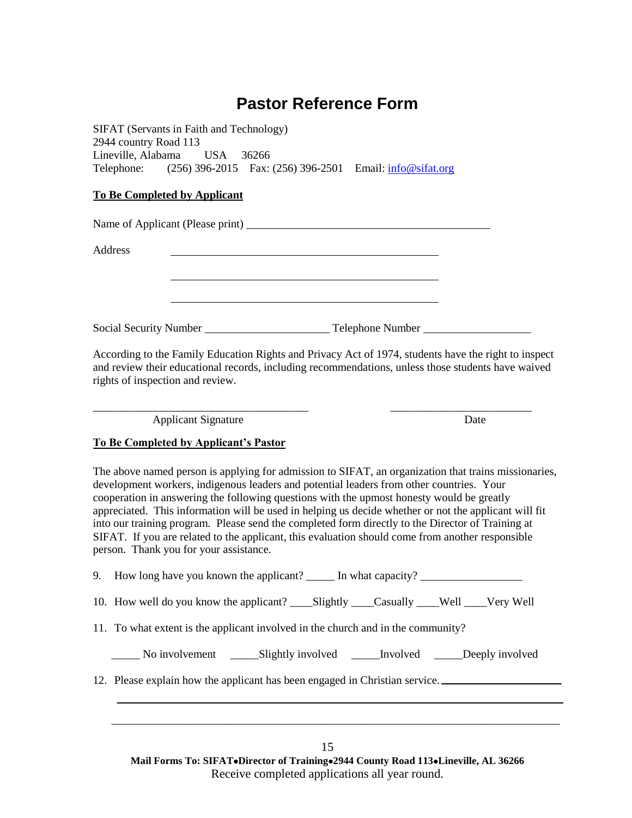## **Pastor Reference Form**

SIFAT (Servants in Faith and Technology) 2944 country Road 113 Lineville, Alabama USA 36266 Telephone: (256) 396-2015 Fax: (256) 396-2501 Email: [info@sifat.org](mailto:info@sifat.org)

### **To Be Completed by Applicant**

| Address |  |
|---------|--|
|         |  |
|         |  |
|         |  |

According to the Family Education Rights and Privacy Act of 1974, students have the right to inspect and review their educational records, including recommendations, unless those students have waived rights of inspection and review.

Applicant Signature Date

\_\_\_\_\_\_\_\_\_\_\_\_\_\_\_\_\_\_\_\_\_\_\_\_\_\_\_\_\_\_\_\_\_\_\_\_\_\_ \_\_\_\_\_\_\_\_\_\_\_\_\_\_\_\_\_\_\_\_\_\_\_\_\_

### **To Be Completed by Applicant's Pastor**

The above named person is applying for admission to SIFAT, an organization that trains missionaries, development workers, indigenous leaders and potential leaders from other countries. Your cooperation in answering the following questions with the upmost honesty would be greatly appreciated. This information will be used in helping us decide whether or not the applicant will fit into our training program. Please send the completed form directly to the Director of Training at SIFAT. If you are related to the applicant, this evaluation should come from another responsible person. Thank you for your assistance.

|  | 9. How long have you known the applicant? ______ In what capacity? |  |  |  |
|--|--------------------------------------------------------------------|--|--|--|
|--|--------------------------------------------------------------------|--|--|--|

- 10. How well do you know the applicant? \_\_\_\_Slightly \_\_\_\_Casually \_\_\_\_Well \_\_\_\_Very Well
- 11. To what extent is the applicant involved in the church and in the community?

No involvement Slightly involved Involved Deeply involved

12. Please explain how the applicant has been engaged in Christian service.

**Mail Forms To: SIFATDirector of Training2944 County Road 113Lineville, AL 36266** Receive completed applications all year round.

\_\_\_\_\_\_\_\_\_\_\_\_\_\_\_\_\_\_\_\_\_\_\_\_\_\_\_\_\_\_\_\_\_\_\_\_\_\_\_\_\_\_\_\_\_\_\_\_\_\_\_\_\_\_\_\_\_\_\_\_\_\_\_\_\_\_\_\_\_\_\_\_\_\_\_\_\_\_\_